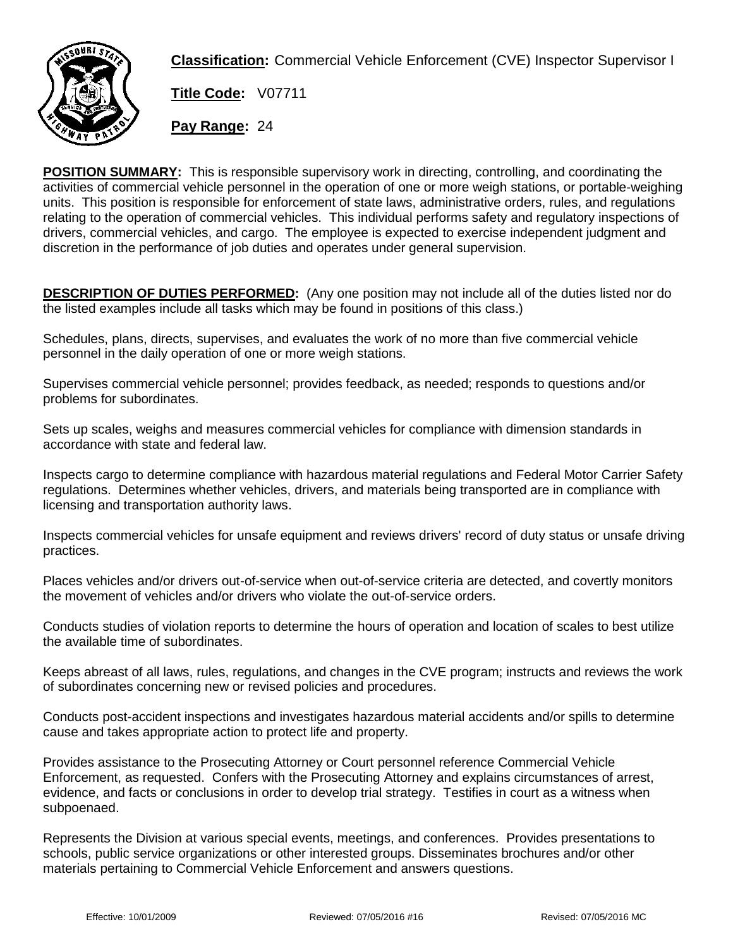

**Classification:** Commercial Vehicle Enforcement (CVE) Inspector Supervisor I

**Title Code:** V07711

**Pay Range:** 24

**POSITION SUMMARY:** This is responsible supervisory work in directing, controlling, and coordinating the activities of commercial vehicle personnel in the operation of one or more weigh stations, or portable-weighing units. This position is responsible for enforcement of state laws, administrative orders, rules, and regulations relating to the operation of commercial vehicles. This individual performs safety and regulatory inspections of drivers, commercial vehicles, and cargo. The employee is expected to exercise independent judgment and discretion in the performance of job duties and operates under general supervision.

**DESCRIPTION OF DUTIES PERFORMED:** (Any one position may not include all of the duties listed nor do the listed examples include all tasks which may be found in positions of this class.)

Schedules, plans, directs, supervises, and evaluates the work of no more than five commercial vehicle personnel in the daily operation of one or more weigh stations.

Supervises commercial vehicle personnel; provides feedback, as needed; responds to questions and/or problems for subordinates.

Sets up scales, weighs and measures commercial vehicles for compliance with dimension standards in accordance with state and federal law.

Inspects cargo to determine compliance with hazardous material regulations and Federal Motor Carrier Safety regulations. Determines whether vehicles, drivers, and materials being transported are in compliance with licensing and transportation authority laws.

Inspects commercial vehicles for unsafe equipment and reviews drivers' record of duty status or unsafe driving practices.

Places vehicles and/or drivers out-of-service when out-of-service criteria are detected, and covertly monitors the movement of vehicles and/or drivers who violate the out-of-service orders.

Conducts studies of violation reports to determine the hours of operation and location of scales to best utilize the available time of subordinates.

Keeps abreast of all laws, rules, regulations, and changes in the CVE program; instructs and reviews the work of subordinates concerning new or revised policies and procedures.

Conducts post-accident inspections and investigates hazardous material accidents and/or spills to determine cause and takes appropriate action to protect life and property.

Provides assistance to the Prosecuting Attorney or Court personnel reference Commercial Vehicle Enforcement, as requested. Confers with the Prosecuting Attorney and explains circumstances of arrest, evidence, and facts or conclusions in order to develop trial strategy. Testifies in court as a witness when subpoenaed.

Represents the Division at various special events, meetings, and conferences. Provides presentations to schools, public service organizations or other interested groups. Disseminates brochures and/or other materials pertaining to Commercial Vehicle Enforcement and answers questions.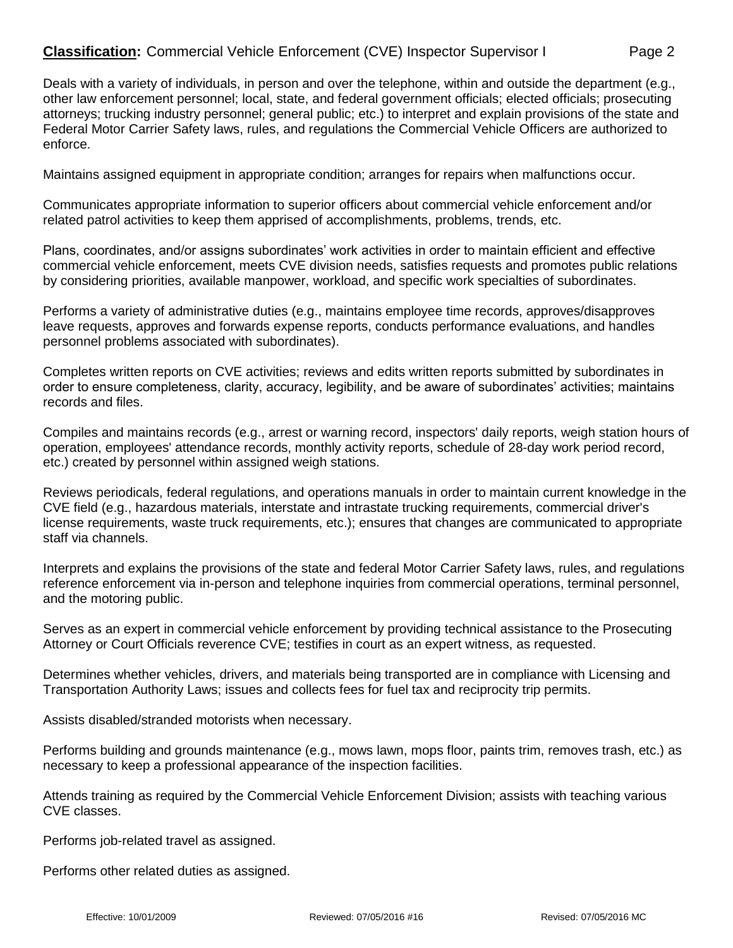## **Classification:** Commercial Vehicle Enforcement (CVE) Inspector Supervisor I Page 2

Deals with a variety of individuals, in person and over the telephone, within and outside the department (e.g., other law enforcement personnel; local, state, and federal government officials; elected officials; prosecuting attorneys; trucking industry personnel; general public; etc.) to interpret and explain provisions of the state and Federal Motor Carrier Safety laws, rules, and regulations the Commercial Vehicle Officers are authorized to enforce.

Maintains assigned equipment in appropriate condition; arranges for repairs when malfunctions occur.

Communicates appropriate information to superior officers about commercial vehicle enforcement and/or related patrol activities to keep them apprised of accomplishments, problems, trends, etc.

Plans, coordinates, and/or assigns subordinates' work activities in order to maintain efficient and effective commercial vehicle enforcement, meets CVE division needs, satisfies requests and promotes public relations by considering priorities, available manpower, workload, and specific work specialties of subordinates.

Performs a variety of administrative duties (e.g., maintains employee time records, approves/disapproves leave requests, approves and forwards expense reports, conducts performance evaluations, and handles personnel problems associated with subordinates).

Completes written reports on CVE activities; reviews and edits written reports submitted by subordinates in order to ensure completeness, clarity, accuracy, legibility, and be aware of subordinates' activities; maintains records and files.

Compiles and maintains records (e.g., arrest or warning record, inspectors' daily reports, weigh station hours of operation, employees' attendance records, monthly activity reports, schedule of 28-day work period record, etc.) created by personnel within assigned weigh stations.

Reviews periodicals, federal regulations, and operations manuals in order to maintain current knowledge in the CVE field (e.g., hazardous materials, interstate and intrastate trucking requirements, commercial driver's license requirements, waste truck requirements, etc.); ensures that changes are communicated to appropriate staff via channels.

Interprets and explains the provisions of the state and federal Motor Carrier Safety laws, rules, and regulations reference enforcement via in-person and telephone inquiries from commercial operations, terminal personnel, and the motoring public.

Serves as an expert in commercial vehicle enforcement by providing technical assistance to the Prosecuting Attorney or Court Officials reverence CVE; testifies in court as an expert witness, as requested.

Determines whether vehicles, drivers, and materials being transported are in compliance with Licensing and Transportation Authority Laws; issues and collects fees for fuel tax and reciprocity trip permits.

Assists disabled/stranded motorists when necessary.

Performs building and grounds maintenance (e.g., mows lawn, mops floor, paints trim, removes trash, etc.) as necessary to keep a professional appearance of the inspection facilities.

Attends training as required by the Commercial Vehicle Enforcement Division; assists with teaching various CVE classes.

Performs job-related travel as assigned.

Performs other related duties as assigned.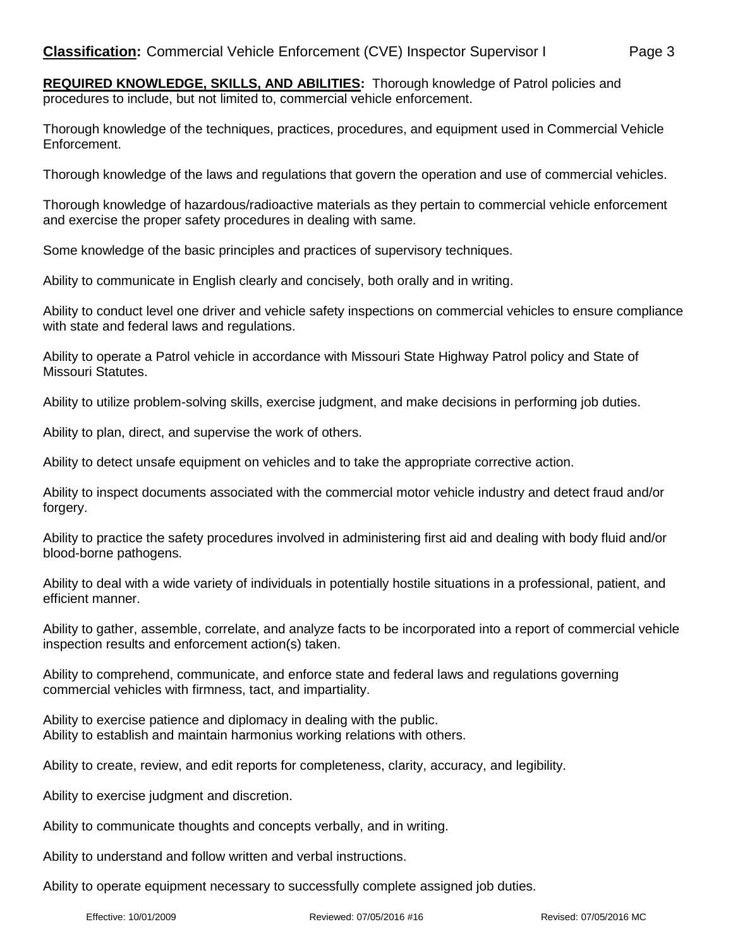Thorough knowledge of the techniques, practices, procedures, and equipment used in Commercial Vehicle Enforcement.

Thorough knowledge of the laws and regulations that govern the operation and use of commercial vehicles.

Thorough knowledge of hazardous/radioactive materials as they pertain to commercial vehicle enforcement and exercise the proper safety procedures in dealing with same.

Some knowledge of the basic principles and practices of supervisory techniques.

Ability to communicate in English clearly and concisely, both orally and in writing.

Ability to conduct level one driver and vehicle safety inspections on commercial vehicles to ensure compliance with state and federal laws and regulations.

Ability to operate a Patrol vehicle in accordance with Missouri State Highway Patrol policy and State of Missouri Statutes.

Ability to utilize problem-solving skills, exercise judgment, and make decisions in performing job duties.

Ability to plan, direct, and supervise the work of others.

Ability to detect unsafe equipment on vehicles and to take the appropriate corrective action.

Ability to inspect documents associated with the commercial motor vehicle industry and detect fraud and/or forgery.

Ability to practice the safety procedures involved in administering first aid and dealing with body fluid and/or blood-borne pathogens.

Ability to deal with a wide variety of individuals in potentially hostile situations in a professional, patient, and efficient manner.

Ability to gather, assemble, correlate, and analyze facts to be incorporated into a report of commercial vehicle inspection results and enforcement action(s) taken.

Ability to comprehend, communicate, and enforce state and federal laws and regulations governing commercial vehicles with firmness, tact, and impartiality.

Ability to exercise patience and diplomacy in dealing with the public. Ability to establish and maintain harmonius working relations with others.

Ability to create, review, and edit reports for completeness, clarity, accuracy, and legibility.

Ability to exercise judgment and discretion.

Ability to communicate thoughts and concepts verbally, and in writing.

Ability to understand and follow written and verbal instructions.

Ability to operate equipment necessary to successfully complete assigned job duties.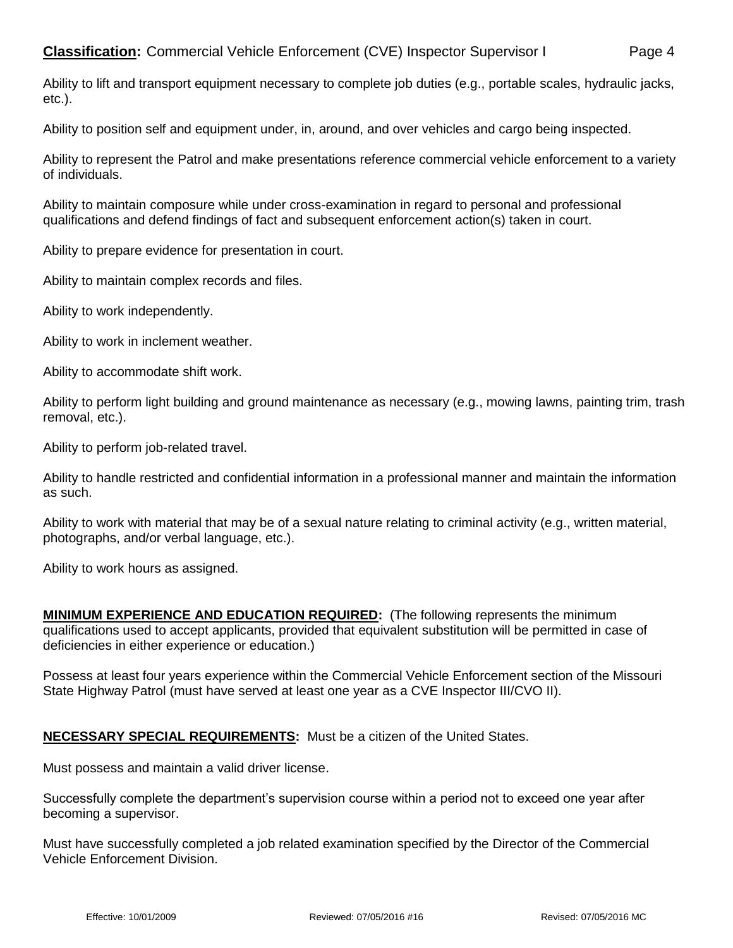Ability to lift and transport equipment necessary to complete job duties (e.g., portable scales, hydraulic jacks, etc.).

Ability to position self and equipment under, in, around, and over vehicles and cargo being inspected.

Ability to represent the Patrol and make presentations reference commercial vehicle enforcement to a variety of individuals.

Ability to maintain composure while under cross-examination in regard to personal and professional qualifications and defend findings of fact and subsequent enforcement action(s) taken in court.

Ability to prepare evidence for presentation in court.

Ability to maintain complex records and files.

Ability to work independently.

Ability to work in inclement weather.

Ability to accommodate shift work.

Ability to perform light building and ground maintenance as necessary (e.g., mowing lawns, painting trim, trash removal, etc.).

Ability to perform job-related travel.

Ability to handle restricted and confidential information in a professional manner and maintain the information as such.

Ability to work with material that may be of a sexual nature relating to criminal activity (e.g., written material, photographs, and/or verbal language, etc.).

Ability to work hours as assigned.

**MINIMUM EXPERIENCE AND EDUCATION REQUIRED:** (The following represents the minimum qualifications used to accept applicants, provided that equivalent substitution will be permitted in case of deficiencies in either experience or education.)

Possess at least four years experience within the Commercial Vehicle Enforcement section of the Missouri State Highway Patrol (must have served at least one year as a CVE Inspector III/CVO II).

## **NECESSARY SPECIAL REQUIREMENTS:** Must be a citizen of the United States.

Must possess and maintain a valid driver license.

Successfully complete the department's supervision course within a period not to exceed one year after becoming a supervisor.

Must have successfully completed a job related examination specified by the Director of the Commercial Vehicle Enforcement Division.